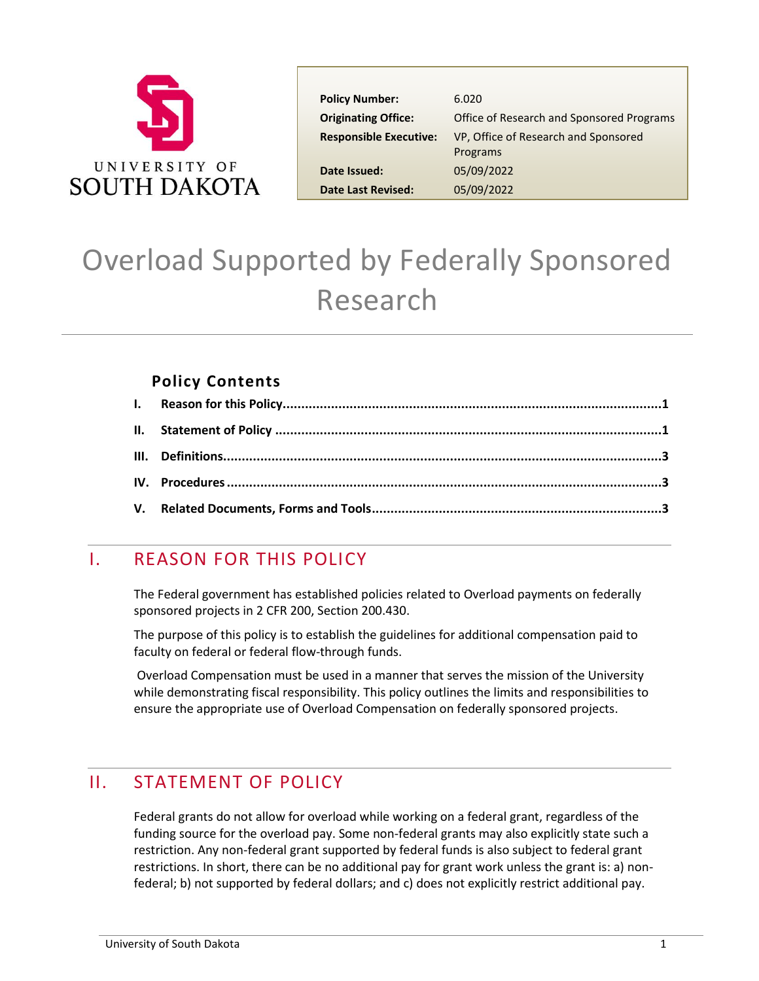

| <b>Policy Number:</b>         | 6.020                                            |
|-------------------------------|--------------------------------------------------|
| <b>Originating Office:</b>    | Office of Research and Sponsored Programs        |
| <b>Responsible Executive:</b> | VP, Office of Research and Sponsored<br>Programs |
| Date Issued:                  | 05/09/2022                                       |
| <b>Date Last Revised:</b>     | 05/09/2022                                       |

# Overload Supported by Federally Sponsored Research

### **Policy Contents**

# <span id="page-0-0"></span>I. REASON FOR THIS POLICY

The Federal government has established policies related to Overload payments on federally sponsored projects in 2 CFR 200, Section 200.430.

The purpose of this policy is to establish the guidelines for additional compensation paid to faculty on federal or federal flow-through funds.

Overload Compensation must be used in a manner that serves the mission of the University while demonstrating fiscal responsibility. This policy outlines the limits and responsibilities to ensure the appropriate use of Overload Compensation on federally sponsored projects.

# <span id="page-0-1"></span>II. STATEMENT OF POLICY

Federal grants do not allow for overload while working on a federal grant, regardless of the funding source for the overload pay. Some non-federal grants may also explicitly state such a restriction. Any non-federal grant supported by federal funds is also subject to federal grant restrictions. In short, there can be no additional pay for grant work unless the grant is: a) nonfederal; b) not supported by federal dollars; and c) does not explicitly restrict additional pay.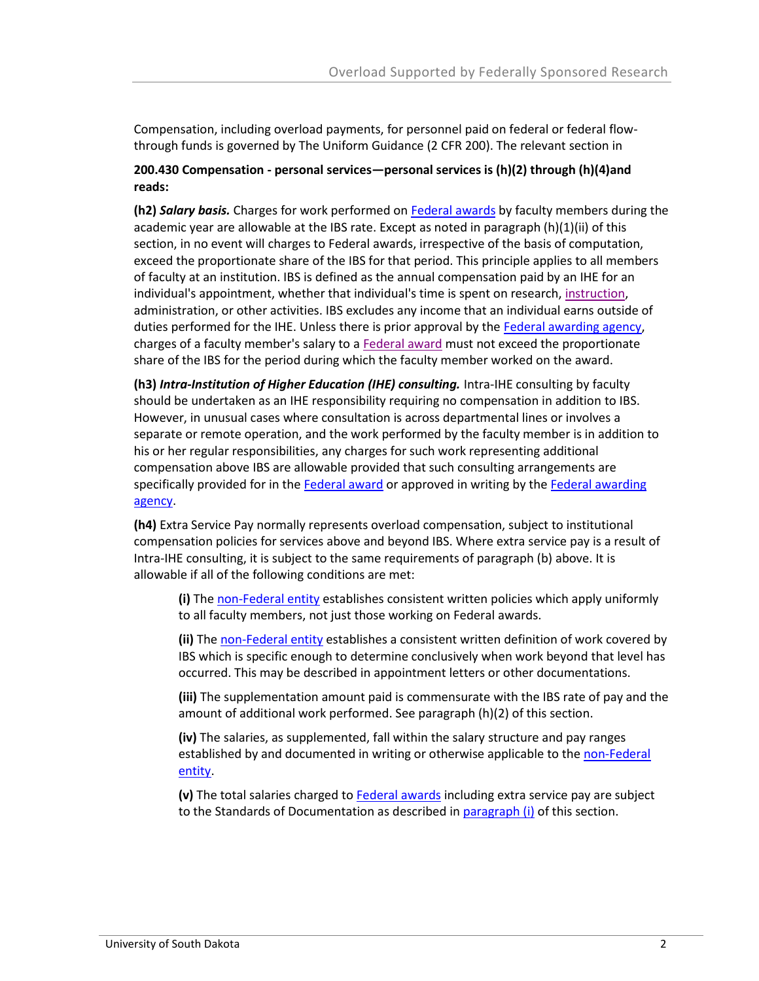Compensation, including overload payments, for personnel paid on federal or federal flowthrough funds is governed by The Uniform Guidance (2 CFR 200). The relevant section in

#### **200.430 Compensation - personal services—personal services is (h)(2) through (h)(4)and reads:**

**(h2)** *Salary basis.* Charges for work performed on [Federal awards](https://www.law.cornell.edu/definitions/index.php?width=840&height=800&iframe=true&def_id=081a194046528468942c369470c2966a&term_occur=999&term_src=Title:2:Subtitle:A:Chapter:II:Part:200:Subpart:E:Subjgrp:41:200.430) by faculty members during the academic year are allowable at the IBS rate. Except as noted in paragraph (h)(1)(ii) of this section, in no event will charges to Federal awards, irrespective of the basis of computation, exceed the proportionate share of the IBS for that period. This principle applies to all members of faculty at an institution. IBS is defined as the annual compensation paid by an IHE for an individual's appointment, whether that individual's time is spent on research, [instruction,](https://www.law.cornell.edu/definitions/index.php?width=840&height=800&iframe=true&def_id=9061e1ac37d08217fd52c700dda430e6&term_occur=999&term_src=Title:2:Subtitle:A:Chapter:II:Part:200:Subpart:E:Subjgrp:41:200.430) administration, or other activities. IBS excludes any income that an individual earns outside of duties performed for the IHE. Unless there is prior approval by the [Federal awarding agency,](https://www.law.cornell.edu/definitions/index.php?width=840&height=800&iframe=true&def_id=3164f893d6d82447c92d899285ce22b2&term_occur=999&term_src=Title:2:Subtitle:A:Chapter:II:Part:200:Subpart:E:Subjgrp:41:200.430) charges of a faculty member's salary to a [Federal award](https://www.law.cornell.edu/definitions/index.php?width=840&height=800&iframe=true&def_id=081a194046528468942c369470c2966a&term_occur=999&term_src=Title:2:Subtitle:A:Chapter:II:Part:200:Subpart:E:Subjgrp:41:200.430) must not exceed the proportionate share of the IBS for the period during which the faculty member worked on the award.

**(h3)** *Intra-Institution of Higher Education (IHE) consulting.* Intra-IHE consulting by faculty should be undertaken as an IHE responsibility requiring no compensation in addition to IBS. However, in unusual cases where consultation is across departmental lines or involves a separate or remote operation, and the work performed by the faculty member is in addition to his or her regular responsibilities, any charges for such work representing additional compensation above IBS are allowable provided that such consulting arrangements are specifically provided for in the [Federal award](https://www.law.cornell.edu/definitions/index.php?width=840&height=800&iframe=true&def_id=081a194046528468942c369470c2966a&term_occur=999&term_src=Title:2:Subtitle:A:Chapter:II:Part:200:Subpart:E:Subjgrp:41:200.430) or approved in writing by the Federal awarding [agency.](https://www.law.cornell.edu/definitions/index.php?width=840&height=800&iframe=true&def_id=3164f893d6d82447c92d899285ce22b2&term_occur=999&term_src=Title:2:Subtitle:A:Chapter:II:Part:200:Subpart:E:Subjgrp:41:200.430)

**(h4)** Extra Service Pay normally represents overload compensation, subject to institutional compensation policies for services above and beyond IBS. Where extra service pay is a result of Intra-IHE consulting, it is subject to the same requirements of paragraph (b) above. It is allowable if all of the following conditions are met:

**(i)** The [non-Federal entity](https://www.law.cornell.edu/definitions/index.php?width=840&height=800&iframe=true&def_id=de00dfd10f09071c905d0928428a197d&term_occur=999&term_src=Title:2:Subtitle:A:Chapter:II:Part:200:Subpart:E:Subjgrp:41:200.430) establishes consistent written policies which apply uniformly to all faculty members, not just those working on Federal awards.

**(ii)** The [non-Federal entity](https://www.law.cornell.edu/definitions/index.php?width=840&height=800&iframe=true&def_id=de00dfd10f09071c905d0928428a197d&term_occur=999&term_src=Title:2:Subtitle:A:Chapter:II:Part:200:Subpart:E:Subjgrp:41:200.430) establishes a consistent written definition of work covered by IBS which is specific enough to determine conclusively when work beyond that level has occurred. This may be described in appointment letters or other documentations.

**(iii)** The supplementation amount paid is commensurate with the IBS rate of pay and the amount of additional work performed. See paragraph (h)(2) of this section.

**(iv)** The salaries, as supplemented, fall within the salary structure and pay ranges established by and documented in writing or otherwise applicable to the non-Federal [entity.](https://www.law.cornell.edu/definitions/index.php?width=840&height=800&iframe=true&def_id=de00dfd10f09071c905d0928428a197d&term_occur=999&term_src=Title:2:Subtitle:A:Chapter:II:Part:200:Subpart:E:Subjgrp:41:200.430)

**(v)** The total salaries charged to [Federal awards](https://www.law.cornell.edu/definitions/index.php?width=840&height=800&iframe=true&def_id=081a194046528468942c369470c2966a&term_occur=999&term_src=Title:2:Subtitle:A:Chapter:II:Part:200:Subpart:E:Subjgrp:41:200.430) including extra service pay are subject to the Standards of Documentation as described in [paragraph \(i\)](https://www.law.cornell.edu/cfr/text/2/200.430#i) of this section.